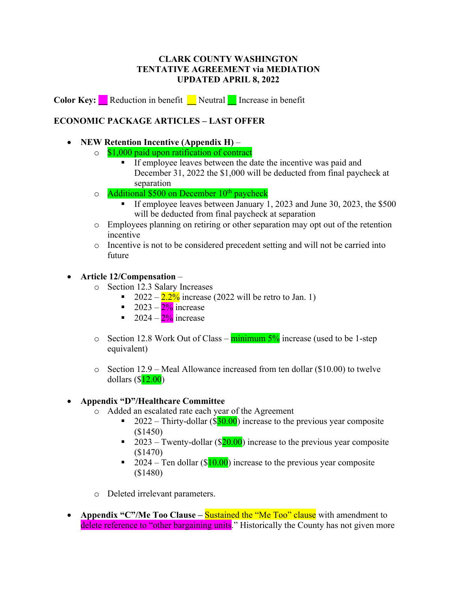## **CLARK COUNTY WASHINGTON TENTATIVE AGREEMENT via MEDIATION UPDATED APRIL 8, 2022**

**Color Key: \_\_** Reduction in benefit **\_\_** Neutral **\_\_** Increase in benefit

# **ECONOMIC PACKAGE ARTICLES – LAST OFFER**

#### • **NEW Retention Incentive (Appendix H)** –

- $\circ$  \$1,000 paid upon ratification of contract
	- **•** If employee leaves between the date the incentive was paid and December 31, 2022 the \$1,000 will be deducted from final paycheck at separation
- $\circ$  Additional \$500 on December 10<sup>th</sup> paycheck
	- § If employee leaves between January 1, 2023 and June 30, 2023, the \$500 will be deducted from final paycheck at separation
- o Employees planning on retiring or other separation may opt out of the retention incentive
- o Incentive is not to be considered precedent setting and will not be carried into future

### • **Article 12/Compensation** –

- o Section 12.3 Salary Increases
	- 2022  $2.2\%$  increase (2022 will be retro to Jan. 1)
	- **•** 2023  $2\frac{9}{9}$  increase
	- **•** 2024  $2\%$  increase
- $\circ$  Section 12.8 Work Out of Class minimum 5% increase (used to be 1-step equivalent)
- o Section 12.9 Meal Allowance increased from ten dollar (\$10.00) to twelve dollars  $(\$12.00)$

### • **Appendix "D"/Healthcare Committee**

- o Added an escalated rate each year of the Agreement
	- **•** 2022 Thirty-dollar (\$30.00) increase to the previous year composite (\$1450)
	- **•** 2023 Twenty-dollar ( $\sqrt{$20.00}$ ) increase to the previous year composite (\$1470)
	- **•** 2024 Ten dollar (\$10.00) increase to the previous year composite (\$1480)
- o Deleted irrelevant parameters.
- **Appendix "C"/Me Too Clause Sustained the "Me Too" clause** with amendment to delete reference to "other bargaining units." Historically the County has not given more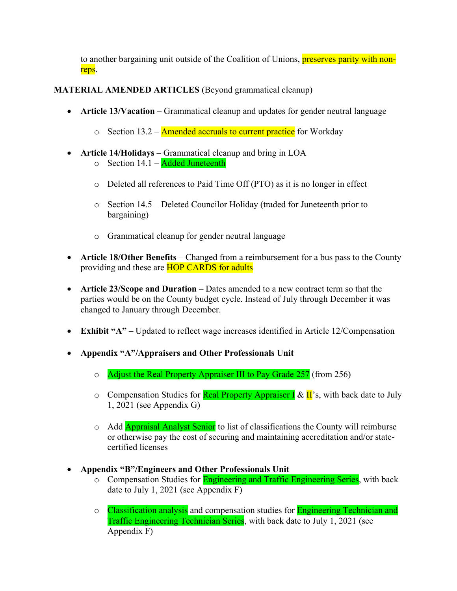to another bargaining unit outside of the Coalition of Unions, preserves parity with nonreps.

## **MATERIAL AMENDED ARTICLES** (Beyond grammatical cleanup)

- **Article 13/Vacation –** Grammatical cleanup and updates for gender neutral language
	- $\circ$  Section 13.2 Amended accruals to current practice for Workday
- **Article 14/Holidays** Grammatical cleanup and bring in LOA
	- $\circ$  Section 14.1 Added Juneteenth
	- o Deleted all references to Paid Time Off (PTO) as it is no longer in effect
	- o Section 14.5 Deleted Councilor Holiday (traded for Juneteenth prior to bargaining)
	- o Grammatical cleanup for gender neutral language
- **Article 18/Other Benefits** Changed from a reimbursement for a bus pass to the County providing and these are **HOP CARDS** for adults
- **Article 23/Scope and Duration** Dates amended to a new contract term so that the parties would be on the County budget cycle. Instead of July through December it was changed to January through December.
- **Exhibit "A" –** Updated to reflect wage increases identified in Article 12/Compensation
- **Appendix "A"/Appraisers and Other Professionals Unit**
	- o Adjust the Real Property Appraiser III to Pay Grade 257 (from 256)
	- o Compensation Studies for **Real Property Appraiser I** & II's, with back date to July 1, 2021 (see Appendix G)
	- o Add **Appraisal Analyst Senior** to list of classifications the County will reimburse or otherwise pay the cost of securing and maintaining accreditation and/or statecertified licenses
- **Appendix "B"/Engineers and Other Professionals Unit**
	- o Compensation Studies for **Engineering and Traffic Engineering Series**, with back date to July 1, 2021 (see Appendix F)
	- o Classification analysis and compensation studies for **Engineering Technician and** Traffic Engineering Technician Series, with back date to July 1, 2021 (see Appendix F)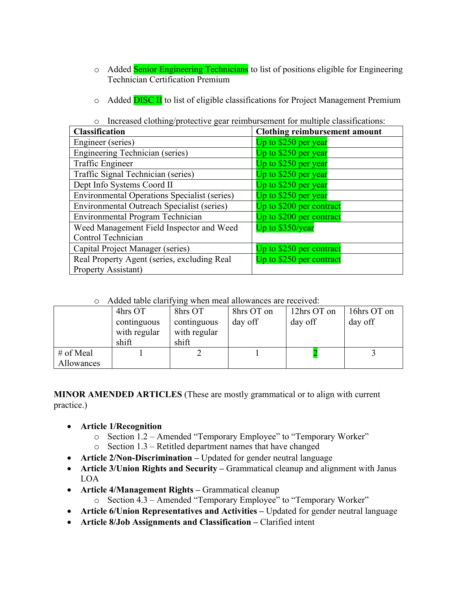- o Added Senior Engineering Technicians to list of positions eligible for Engineering Technician Certification Premium
- $\circ$  Added **DISC II** to list of eligible classifications for Project Management Premium

o Increased clothing/protective gear reimbursement for multiple classifications:

| <b>Classification</b>                               | <b>Clothing reimbursement amount</b> |  |  |
|-----------------------------------------------------|--------------------------------------|--|--|
| Engineer (series)                                   | Up to \$250 per year                 |  |  |
| <b>Engineering Technician (series)</b>              | Up to $$250$ per year                |  |  |
| Traffic Engineer                                    | Up to $$250$ per year                |  |  |
| Traffic Signal Technician (series)                  | Up to $$250$ per year                |  |  |
| Dept Info Systems Coord II                          | Up to \$250 per year                 |  |  |
| <b>Environmental Operations Specialist (series)</b> | Up to $$250$ per year                |  |  |
| Environmental Outreach Specialist (series)          | Up to \$200 per contract             |  |  |
| <b>Environmental Program Technician</b>             | Up to \$200 per contract             |  |  |
| Weed Management Field Inspector and Weed            | Up to \$350/year                     |  |  |
| Control Technician                                  |                                      |  |  |
| Capital Project Manager (series)                    | Up to \$250 per contract             |  |  |
| Real Property Agent (series, excluding Real         | Up to \$250 per contract             |  |  |
| Property Assistant)                                 |                                      |  |  |

| o Added table clarifying when meal allowances are received: |  |
|-------------------------------------------------------------|--|
|-------------------------------------------------------------|--|

|            | 4hrs OT      | 8hrs OT      | 8hrs OT on | 12hrs OT on | 16hrs OT on |
|------------|--------------|--------------|------------|-------------|-------------|
|            | continguous  | continguous  | day off    | day off     | day off     |
|            | with regular | with regular |            |             |             |
|            | shift        | shift        |            |             |             |
| # of Meal  |              |              |            |             |             |
| Allowances |              |              |            |             |             |

**MINOR AMENDED ARTICLES** (These are mostly grammatical or to align with current practice.)

- **Article 1/Recognition**
	- o Section 1.2 Amended "Temporary Employee" to "Temporary Worker"
	- o Section 1.3 Retitled department names that have changed
- **Article 2/Non-Discrimination –** Updated for gender neutral language
- **Article 3/Union Rights and Security Grammatical cleanup and alignment with Janus** LOA
- **Article 4/Management Rights –** Grammatical cleanup
	- o Section 4.3 Amended "Temporary Employee" to "Temporary Worker"
- **Article 6/Union Representatives and Activities –** Updated for gender neutral language
- **Article 8/Job Assignments and Classification –** Clarified intent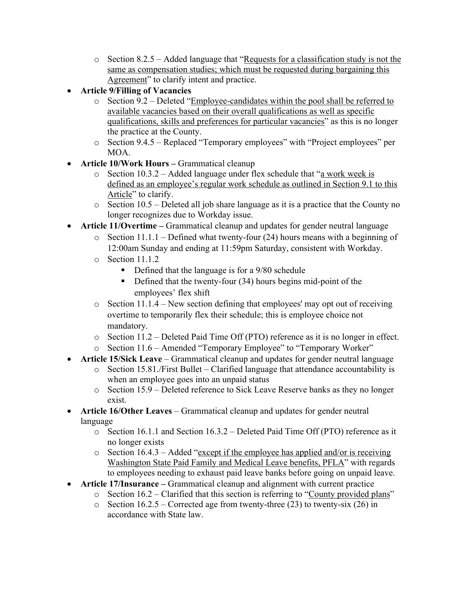- o Section 8.2.5 Added language that "Requests for a classification study is not the same as compensation studies; which must be requested during bargaining this Agreement" to clarify intent and practice.
- **Article 9/Filling of Vacancies** 
	- o Section 9.2 Deleted "Employee-candidates within the pool shall be referred to available vacancies based on their overall qualifications as well as specific qualifications, skills and preferences for particular vacancies" as this is no longer the practice at the County.
	- o Section 9.4.5 Replaced "Temporary employees" with "Project employees" per MOA.
- **Article 10/Work Hours –** Grammatical cleanup
	- $\circ$  Section 10.3.2 Added language under flex schedule that "a work week is defined as an employee's regular work schedule as outlined in Section 9.1 to this Article" to clarify.
	- o Section 10.5 Deleted all job share language as it is a practice that the County no longer recognizes due to Workday issue.
- **Article 11/Overtime –** Grammatical cleanup and updates for gender neutral language
	- $\circ$  Section 11.1.1 Defined what twenty-four (24) hours means with a beginning of 12:00am Sunday and ending at 11:59pm Saturday, consistent with Workday.
	- o Section 11.1.2
		- § Defined that the language is for a 9/80 schedule
		- Defined that the twenty-four (34) hours begins mid-point of the employees' flex shift
	- $\circ$  Section 11.1.4 New section defining that employees' may opt out of receiving overtime to temporarily flex their schedule; this is employee choice not mandatory.
	- o Section 11.2 Deleted Paid Time Off (PTO) reference as it is no longer in effect.
	- o Section 11.6 Amended "Temporary Employee" to "Temporary Worker"
- **Article 15/Sick Leave** Grammatical cleanup and updates for gender neutral language
	- o Section 15.81./First Bullet Clarified language that attendance accountability is when an employee goes into an unpaid status
	- o Section 15.9 Deleted reference to Sick Leave Reserve banks as they no longer exist.
- **Article 16/Other Leaves** Grammatical cleanup and updates for gender neutral language
	- o Section 16.1.1 and Section 16.3.2 Deleted Paid Time Off (PTO) reference as it no longer exists
	- $\circ$  Section 16.4.3 Added "except if the employee has applied and/or is receiving Washington State Paid Family and Medical Leave benefits, PFLA" with regards to employees needing to exhaust paid leave banks before going on unpaid leave.
- **Article 17/Insurance –** Grammatical cleanup and alignment with current practice
	- o Section 16.2 Clarified that this section is referring to "County provided plans"
	- $\circ$  Section 16.2.5 Corrected age from twenty-three (23) to twenty-six (26) in accordance with State law.